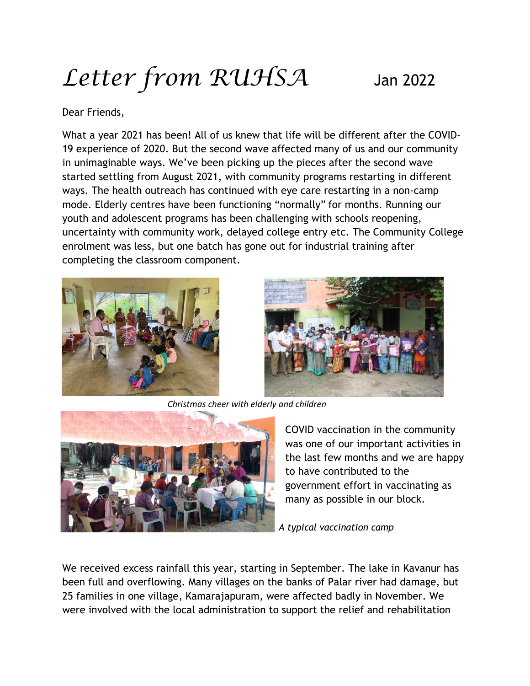## *Letter from RUHSA* Jan <sup>2022</sup>

## Dear Friends,

What a year 2021 has been! All of us knew that life will be different after the COVID-19 experience of 2020. But the second wave affected many of us and our community in unimaginable ways. We've been picking up the pieces after the second wave started settling from August 2021, with community programs restarting in different ways. The health outreach has continued with eye care restarting in a non-camp mode. Elderly centres have been functioning "normally" for months. Running our youth and adolescent programs has been challenging with schools reopening, uncertainty with community work, delayed college entry etc. The Community College enrolment was less, but one batch has gone out for industrial training after completing the classroom component.





*Christmas cheer with elderly and children*



COVID vaccination in the community was one of our important activities in the last few months and we are happy to have contributed to the government effort in vaccinating as many as possible in our block.

*A typical vaccination camp*

We received excess rainfall this year, starting in September. The lake in Kavanur has been full and overflowing. Many villages on the banks of Palar river had damage, but 25 families in one village, Kamarajapuram, were affected badly in November. We were involved with the local administration to support the relief and rehabilitation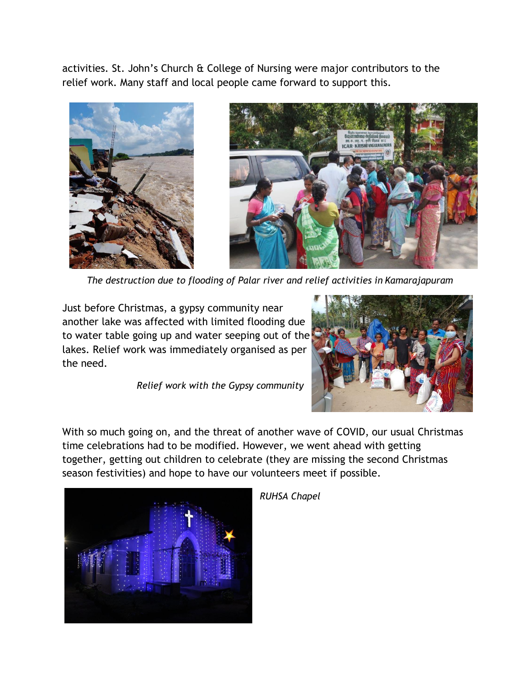activities. St. John's Church & College of Nursing were major contributors to the relief work. Many staff and local people came forward to support this.





*The destruction due to flooding of Palar river and relief activities in Kamarajapuram*

Just before Christmas, a gypsy community near another lake was affected with limited flooding due to water table going up and water seeping out of the lakes. Relief work was immediately organised as per the need.

*Relief work with the Gypsy community*



With so much going on, and the threat of another wave of COVID, our usual Christmas time celebrations had to be modified. However, we went ahead with getting together, getting out children to celebrate (they are missing the second Christmas season festivities) and hope to have our volunteers meet if possible.



*RUHSA Chapel*